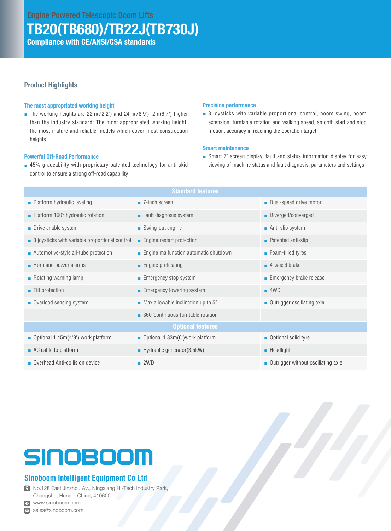# TB20(TB680)/TB22J(TB730J)

Compliance with CE/ANSI/CSA standards

## Product Highlights

#### The most appropriated working height

■ The working heights are  $22m(72'2'')$  and  $24m(78'9'')$ ,  $2m(6'7'')$  higher than the industry standard; The most appropriated working height, the most mature and reliable models which cover most construction heights

#### Powerful Off-Road Performance

■ 45% gradeability with proprietary patented technology for anti-skid control to ensure a strong off-road capability

#### Precision performance

■ 3 joysticks with variable proportional control, boom swing, boom extension, turntable rotation and walking speed, smooth start and stop motion, accuracy in reaching the operation target

## Smart maintenance

■ Smart 7" screen display, fault and status information display for easy viewing of machine status and fault diagnosis, parameters and settings

| <b>Standard features</b>                                      |                                             |                                                   |  |  |  |  |  |
|---------------------------------------------------------------|---------------------------------------------|---------------------------------------------------|--|--|--|--|--|
| $\blacksquare$ Platform hydraulic leveling                    | $\blacksquare$ 7-inch screen                | Dual-speed drive motor                            |  |  |  |  |  |
| • Platform 160° hydraulic rotation                            | $\blacksquare$ Fault diagnosis system       | Diverged/converged                                |  |  |  |  |  |
| • Drive enable system                                         | ■ Swing-out engine                          | ■ Anti-slip system                                |  |  |  |  |  |
| $\blacksquare$ 3 joysticks with variable proportional control | $\blacksquare$ Engine restart protection    | $\blacksquare$ Patented anti-slip                 |  |  |  |  |  |
| • Automotive-style all-tube protection                        | ■ Engine malfunction automatic shutdown     | ■ Foam-filled tyres                               |  |  |  |  |  |
| $\blacksquare$ Horn and buzzer alarms                         | $\blacksquare$ Engine preheating            | $\blacksquare$ 4-wheel brake                      |  |  |  |  |  |
| Rotating warning lamp                                         | ■ Emergency stop system                     | Emergency brake release                           |  |  |  |  |  |
| ■ Tilt protection                                             | $\blacksquare$ Emergency lowering system    | $-4WD$                                            |  |  |  |  |  |
| • Overload sensing system                                     | • Max allowable inclination up to $5^\circ$ | ■ Outrigger oscillating axle                      |  |  |  |  |  |
|                                                               | ■ 360° continuous turntable rotation        |                                                   |  |  |  |  |  |
| <b>Optional features</b>                                      |                                             |                                                   |  |  |  |  |  |
| <b>D</b> Optional 1.45m(4'9") work platform                   | <b>Dependicional 1.83m(6)</b> work platform | • Optional solid tyre                             |  |  |  |  |  |
| $\blacksquare$ AC cable to platform                           | $\blacksquare$ Hydraulic generator(3.5kW)   | $\blacksquare$ Headlight                          |  |  |  |  |  |
| Overhead Anti-collision device                                | $-2WD$                                      | $\blacksquare$ Outrigger without oscillating axle |  |  |  |  |  |

# SINOBOOM

## **Sinoboom Intelligent Equipment Co Ltd**

No.128 East Jinzhou Av., Ningxiang Hi-Tech Industry Park, Changsha, Hunan, China, 410600

www.sinoboom.com

sales@sinoboom.com